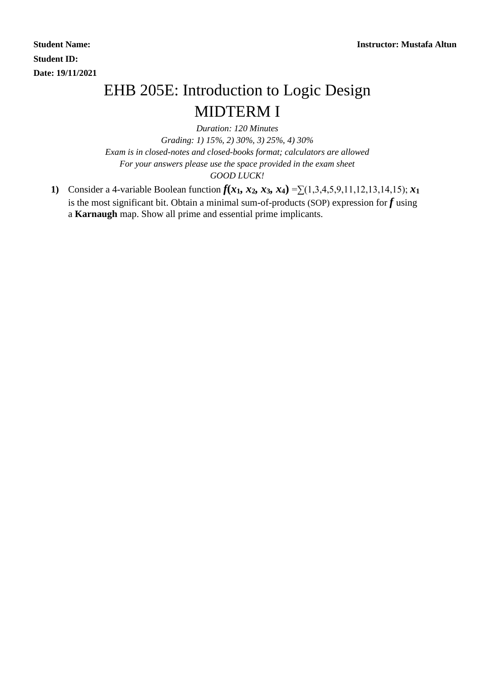**Student ID: Date: 19/11/2021**

## EHB 205E: Introduction to Logic Design MIDTERM I

*Duration: 120 Minutes Grading: 1) 15%, 2) 30%, 3) 25%, 4) 30% Exam is in closed-notes and closed-books format; calculators are allowed For your answers please use the space provided in the exam sheet GOOD LUCK!*

**1)** Consider a 4-variable Boolean function  $f(x_1, x_2, x_3, x_4) = \sum (1,3,4,5,9,11,12,13,14,15); x_1$ is the most significant bit. Obtain a minimal sum-of-products (SOP) expression for *f* using a **Karnaugh** map. Show all prime and essential prime implicants.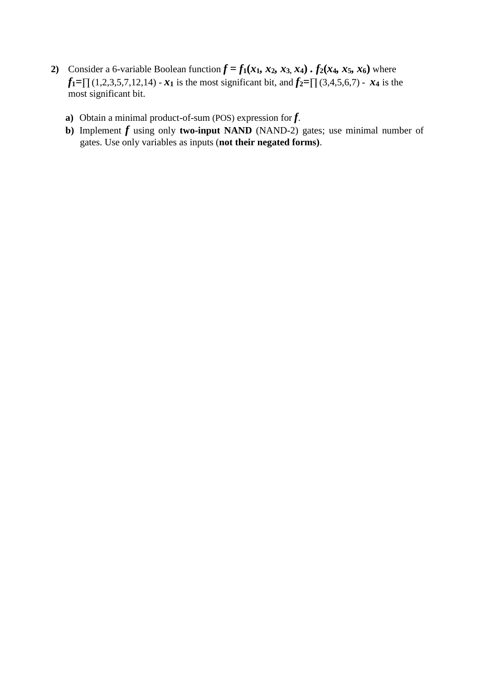- 2) Consider a 6-variable Boolean function  $f = f_1(x_1, x_2, x_3, x_4)$ .  $f_2(x_4, x_5, x_6)$  where *f***1=**∏ (1,2,3,5,7,12,14) - *x*<sub>1</sub> is the most significant bit, and *f*<sub>2</sub>=∏ (3,4,5,6,7) - *x*<sub>4</sub> is the most significant bit.
	- **a)** Obtain a minimal product-of-sum (POS) expression for *f*.
	- **b)** Implement *f* using only **two-input NAND** (NAND-2) gates; use minimal number of gates. Use only variables as inputs (**not their negated forms)**.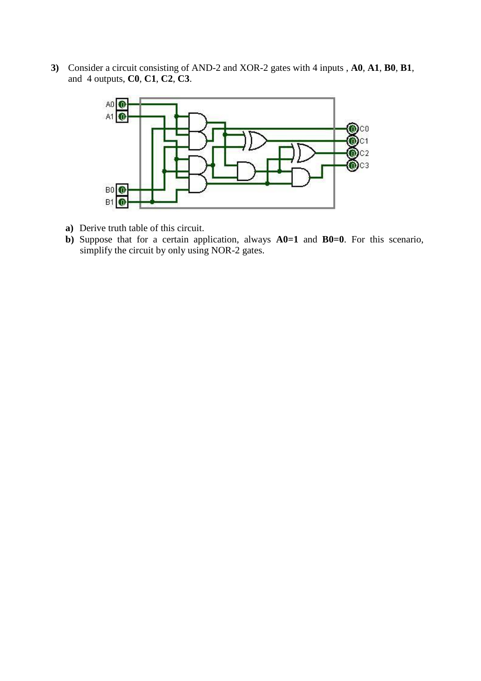**3)** Consider a circuit consisting of AND-2 and XOR-2 gates with 4 inputs , **A0**, **A1**, **B0**, **B1**, and 4 outputs, **C0**, **C1**, **C2**, **C3**.



- **a)** Derive truth table of this circuit.
- **b)** Suppose that for a certain application, always **A0=1** and **B0=0**. For this scenario, simplify the circuit by only using NOR-2 gates.